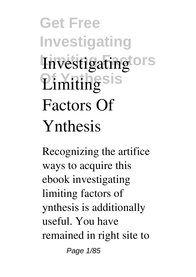**Get Free Investigating Investigating ors Of Ynthesis Limiting Factors Of Ynthesis**

Recognizing the artifice ways to acquire this ebook **investigating limiting factors of ynthesis** is additionally useful. You have remained in right site to Page 1/85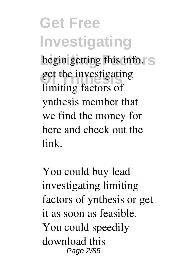**Get Free Investigating** begin getting this info. S get the investigating<br> limiting factors of ynthesis member that we find the money for here and check out the link.

You could buy lead investigating limiting factors of ynthesis or get it as soon as feasible. You could speedily download this Page 2/85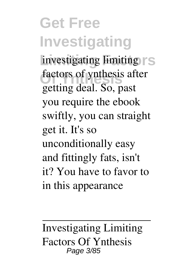**Get Free Investigating** investigating limiting  $\Gamma$ S factors of ynthesis after getting deal. So, past you require the ebook swiftly, you can straight get it. It's so unconditionally easy and fittingly fats, isn't it? You have to favor to in this appearance

**Investigating Limiting Factors Of Ynthesis** Page 3/85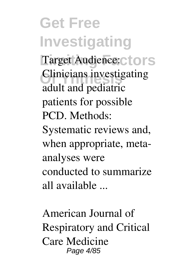**Get Free Investigating** Target Audience: ctors **Clinicians investigating** adult and pediatric patients for possible PCD. Methods: Systematic reviews and, when appropriate, metaanalyses were conducted to summarize all available ...

**American Journal of Respiratory and Critical Care Medicine** Page 4/85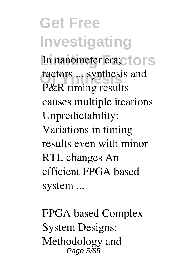**Get Free Investigating** In nanometer era;ctors factors ... synthesis and<br> **D**<sup>*8*-</sub>**D** timing results</sup> P&R timing results causes multiple itearions Unpredictability: Variations in timing results even with minor RTL changes An efficient FPGA based system ...

**FPGA based Complex System Designs: Methodology and** Page 5/85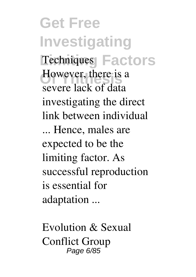**Get Free Investigating Techniques Factors However, there is a** severe lack of data investigating the direct link between individual ... Hence, males are expected to be the limiting factor. As successful reproduction is essential for adaptation ...

**Evolution & Sexual Conflict Group** Page 6/85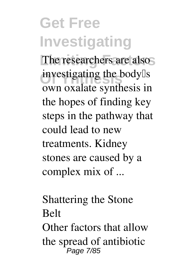## **Get Free Investigating**

The researchers are also investigating the body<sup>[]</sup>s own oxalate synthesis in the hopes of finding key steps in the pathway that could lead to new treatments. Kidney stones are caused by a complex mix of ...

**Shattering the Stone Belt** Other factors that allow the spread of antibiotic Page 7/85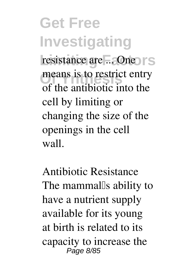**Get Free Investigating** resistance are ... One IS means is to restrict entry of the antibiotic into the cell by limiting or changing the size of the openings in the cell wall.

**Antibiotic Resistance** The mammal<sup>[]</sup>s ability to have a nutrient supply available for its young at birth is related to its capacity to increase the Page 8/85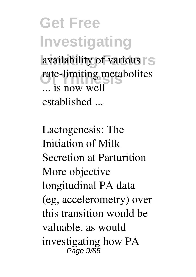**Get Free Investigating** availability of various S rate-limiting metabolites ... is now well established ...

**Lactogenesis: The Initiation of Milk Secretion at Parturition** More objective longitudinal PA data (eg, accelerometry) over this transition would be valuable, as would investigating how PA Page 9/85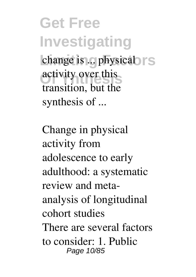**Get Free Investigating** change is ... physical rs activity over this transition, but the synthesis of ...

**Change in physical activity from adolescence to early adulthood: a systematic review and metaanalysis of longitudinal cohort studies** There are several factors to consider: 1. Public Page 10/85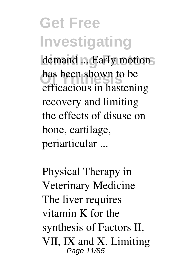## **Get Free Investigating** demand ... Early motions has been shown to be efficacious in hastening recovery and limiting the effects of disuse on bone, cartilage, periarticular ...

**Physical Therapy in Veterinary Medicine** The liver requires vitamin K for the synthesis of Factors II, VII, IX and X. Limiting Page 11/85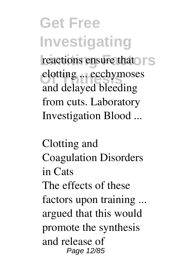**Get Free Investigating** reactions ensure that **S Clotting ... ecchymoses** and delayed bleeding from cuts. Laboratory Investigation Blood ...

**Clotting and Coagulation Disorders in Cats** The effects of these factors upon training ... argued that this would promote the synthesis and release of Page 12/85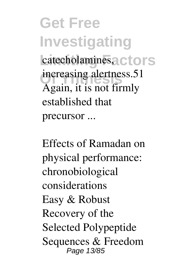**Get Free Investigating** catecholamines, ctors increasing alertness.51 Again, it is not firmly established that precursor ...

**Effects of Ramadan on physical performance: chronobiological considerations** Easy & Robust Recovery of the Selected Polypeptide Sequences & Freedom Page 13/85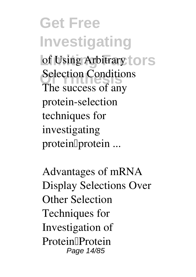**Get Free Investigating** of Using Arbitrary to rs **Selection Conditions** The success of any protein-selection techniques for investigating proteinllprotein ...

**Advantages of mRNA Display Selections Over Other Selection Techniques for Investigation of Protein–Protein** Page 14/85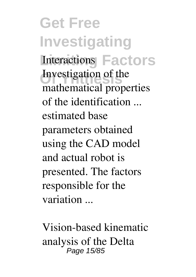**Get Free Investigating Limiting Factors Interactions** Investigation of the mathematical properties of the identification ... estimated base parameters obtained using the CAD model and actual robot is presented. The factors responsible for the variation ...

**Vision-based kinematic analysis of the Delta** Page 15/85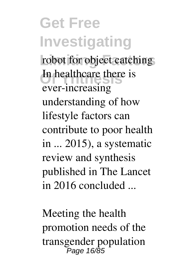**Get Free Investigating** robot for object catching **Of Ynthesis** In healthcare there is ever-increasing understanding of how lifestyle factors can contribute to poor health in ... 2015), a systematic review and synthesis published in The Lancet in 2016 concluded ...

**Meeting the health promotion needs of the transgender population** Page 16/85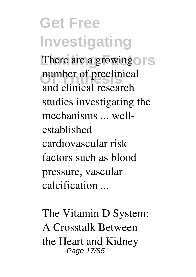**Get Free Investigating** There are a growing or S number of preclinical and clinical research studies investigating the mechanisms ... wellestablished cardiovascular risk factors such as blood pressure, vascular calcification ...

**The Vitamin D System: A Crosstalk Between the Heart and Kidney** Page 17/85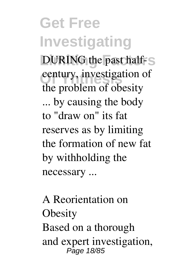**Get Free Investigating DURING** the past half-S century, investigation of the problem of obesity ... by causing the body to "draw on" its fat reserves as by limiting the formation of new fat by withholding the necessary ...

**A Reorientation on Obesity** Based on a thorough and expert investigation, Page 18/85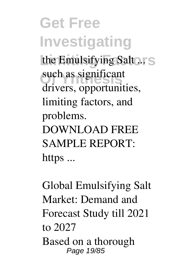**Get Free Investigating** the Emulsifying Salt ... S such as significant drivers, opportunities, limiting factors, and problems. DOWNLOAD FREE SAMPLE REPORT: https ...

**Global Emulsifying Salt Market: Demand and Forecast Study till 2021 to 2027** Based on a thorough Page 19/85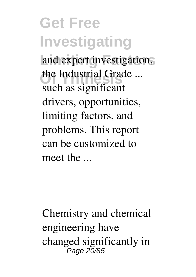**Get Free Investigating** and expert investigation, the Industrial Grade ... such as significant drivers, opportunities, limiting factors, and problems. This report can be customized to meet the ...

Chemistry and chemical engineering have changed significantly in Page 20/85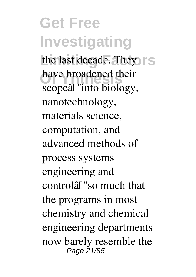**Get Free Investigating** the last decade. They have broadened the have broadened their scopeâ $\mathbb{I}$ "into biology, nanotechnology, materials science, computation, and advanced methods of process systems engineering and controlâ€"so much that the programs in most chemistry and chemical engineering departments now barely resemble the Page 21/85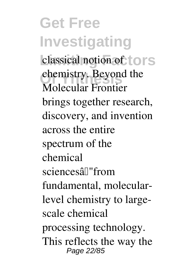**Get Free Investigating** classical notion of tors chemistry. Beyond the Molecular Frontier brings together research, discovery, and invention across the entire spectrum of the chemical sciencesâ€"from fundamental, molecularlevel chemistry to largescale chemical processing technology. This reflects the way the Page 22/85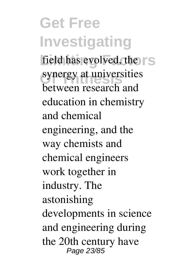**Get Free Investigating** field has evolved, the  $\mathsf{TS}$ synergy at universities between research and education in chemistry and chemical engineering, and the way chemists and chemical engineers work together in industry. The astonishing developments in science and engineering during the 20th century have Page 23/85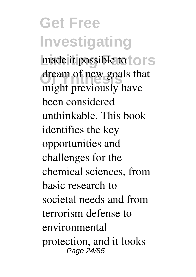**Get Free Investigating** made it possible to tors dream of new goals that might previously have been considered unthinkable. This book identifies the key opportunities and challenges for the chemical sciences, from basic research to societal needs and from terrorism defense to environmental protection, and it looks Page 24/85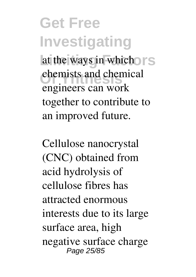**Get Free Investigating** at the ways in which **S** chemists and chemical engineers can work together to contribute to an improved future.

Cellulose nanocrystal (CNC) obtained from acid hydrolysis of cellulose fibres has attracted enormous interests due to its large surface area, high negative surface charge Page 25/85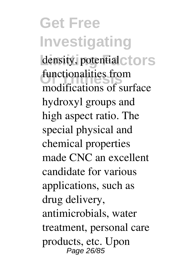**Get Free Investigating** density, potential ctors functionalities from modifications of surface hydroxyl groups and high aspect ratio. The special physical and chemical properties made CNC an excellent candidate for various applications, such as drug delivery, antimicrobials, water treatment, personal care products, etc. Upon Page 26/85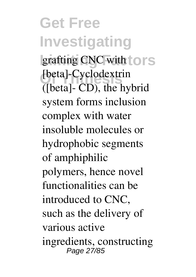**Get Free Investigating** grafting CNC with to rs [beta]-Cyclodextrin ([beta]- CD), the hybrid system forms inclusion complex with water insoluble molecules or hydrophobic segments of amphiphilic polymers, hence novel functionalities can be introduced to CNC, such as the delivery of various active ingredients, constructing Page 27/85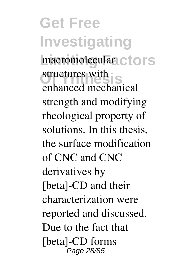**Get Free Investigating** macromolecular ctors structures with **S** enhanced mechanical strength and modifying rheological property of solutions. In this thesis, the surface modification of CNC and CNC derivatives by [beta]-CD and their characterization were reported and discussed. Due to the fact that [beta]-CD forms Page 28/85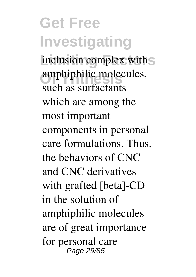**Get Free Investigating** inclusion complex with S amphiphilic molecules, such as surfactants which are among the most important components in personal care formulations. Thus, the behaviors of CNC and CNC derivatives with grafted [beta]-CD in the solution of amphiphilic molecules are of great importance for personal care Page 29/85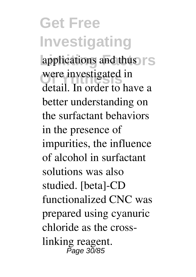**Get Free Investigating** applications and thus  $\mathsf{TS}$ were investigated in detail. In order to have a better understanding on the surfactant behaviors in the presence of impurities, the influence of alcohol in surfactant solutions was also studied. [beta]-CD functionalized CNC was prepared using cyanuric chloride as the crosslinking reagent. Page 30/85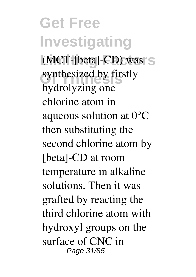**Get Free Investigating** (MCT-[beta]-CD) was S synthesized by firstly hydrolyzing one chlorine atom in aqueous solution at 0°C then substituting the second chlorine atom by [beta]-CD at room temperature in alkaline solutions. Then it was grafted by reacting the third chlorine atom with hydroxyl groups on the surface of CNC in Page 31/85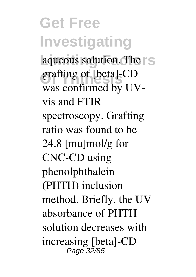**Get Free Investigating** aqueous solution. The <sub>S</sub> grafting of [beta]-CD was confirmed by UVvis and FTIR spectroscopy. Grafting ratio was found to be 24.8 [mu]mol/g for CNC-CD using phenolphthalein (PHTH) inclusion method. Briefly, the UV absorbance of PHTH solution decreases with increasing [beta]-CD Page 32/85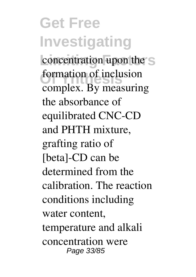**Get Free Investigating** concentration upon the S **formation of inclusion** complex. By measuring the absorbance of equilibrated CNC-CD and PHTH mixture, grafting ratio of [beta]-CD can be determined from the calibration. The reaction conditions including water content, temperature and alkali concentration were Page 33/85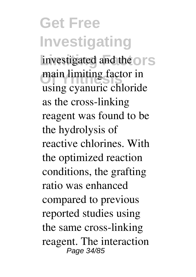**Get Free Investigating** investigated and the or<sub>S</sub> main limiting factor in using cyanuric chloride as the cross-linking reagent was found to be the hydrolysis of reactive chlorines. With the optimized reaction conditions, the grafting ratio was enhanced compared to previous reported studies using the same cross-linking reagent. The interaction Page 34/85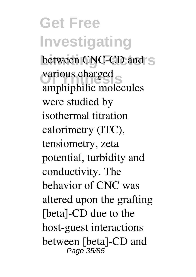**Get Free Investigating** between CNC-CD and S various charged amphiphilic molecules were studied by isothermal titration calorimetry (ITC), tensiometry, zeta potential, turbidity and conductivity. The behavior of CNC was altered upon the grafting [beta]-CD due to the host-guest interactions between [beta]-CD and Page 35/85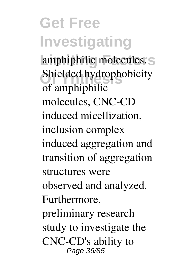**Get Free Investigating** amphiphilic molecules. S Shielded hydrophobicity of amphiphilic molecules, CNC-CD induced micellization, inclusion complex induced aggregation and transition of aggregation structures were observed and analyzed. Furthermore, preliminary research study to investigate the CNC-CD's ability to Page 36/85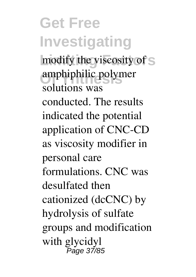**Get Free Investigating** modify the viscosity of S amphiphilic polymer solutions was conducted. The results indicated the potential application of CNC-CD as viscosity modifier in personal care formulations. CNC was desulfated then cationized (dcCNC) by hydrolysis of sulfate groups and modification with glycidyl <del>.</del><br>Раде 37/85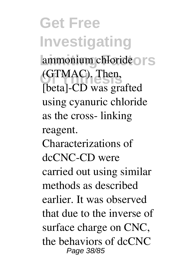**Get Free Investigating** ammonium chloride<sup>ors</sup> **Of Ynthesis** (GTMAC). Then, [beta]-CD was grafted using cyanuric chloride as the cross- linking reagent. Characterizations of dcCNC-CD were carried out using similar methods as described earlier. It was observed that due to the inverse of surface charge on CNC, the behaviors of dcCNC Page 38/85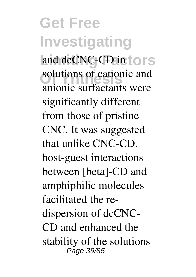**Get Free Investigating** and dcCNC-CD in tors solutions of cationic and anionic surfactants were significantly different from those of pristine CNC. It was suggested that unlike CNC-CD, host-guest interactions between [beta]-CD and amphiphilic molecules facilitated the redispersion of dcCNC-CD and enhanced the stability of the solutions Page 39/85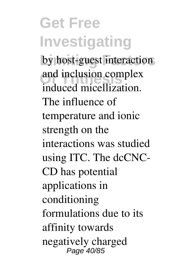**Get Free Investigating** by host-guest interaction and inclusion complex induced micellization. The influence of temperature and ionic strength on the interactions was studied using ITC. The dcCNC-CD has potential applications in conditioning formulations due to its affinity towards negatively charged Page 40/85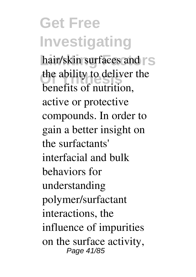**Get Free Investigating** hair/skin surfaces and  $\Gamma$ S the ability to deliver the benefits of nutrition, active or protective compounds. In order to gain a better insight on the surfactants' interfacial and bulk behaviors for understanding polymer/surfactant interactions, the influence of impurities on the surface activity, Page 41/85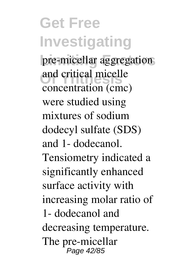**Get Free Investigating** pre-micellar aggregation and critical micelle concentration (cmc) were studied using mixtures of sodium dodecyl sulfate (SDS) and 1- dodecanol. Tensiometry indicated a significantly enhanced surface activity with increasing molar ratio of 1- dodecanol and decreasing temperature. The pre-micellar Page 42/85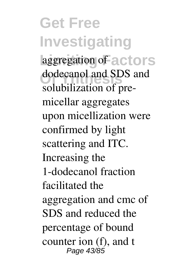**Get Free Investigating laggregation** of actors dodecanol and SL dodecanol and SDS and solubilization of premicellar aggregates upon micellization were confirmed by light scattering and ITC. Increasing the 1-dodecanol fraction facilitated the aggregation and cmc of SDS and reduced the percentage of bound counter ion (f), and t Page 43/85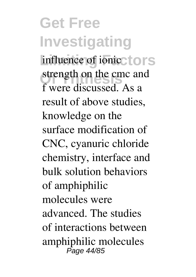**Get Free Investigating** influence of ionicctors strength on the cmc and<br>frame discussed f were discussed. As a result of above studies, knowledge on the surface modification of CNC, cyanuric chloride chemistry, interface and bulk solution behaviors of amphiphilic molecules were advanced. The studies of interactions between amphiphilic molecules Page 44/85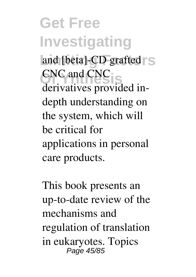**Get Free Investigating** and [beta]-CD grafted S **CNC** and CNC derivatives provided indepth understanding on the system, which will be critical for applications in personal care products.

This book presents an up-to-date review of the mechanisms and regulation of translation in eukaryotes. Topics Page 45/85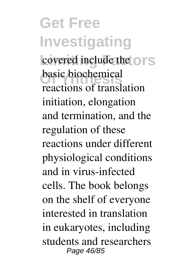**Get Free Investigating** covered include the or<sub>S</sub> basic biochemical reactions of translation initiation, elongation and termination, and the regulation of these reactions under different physiological conditions and in virus-infected cells. The book belongs on the shelf of everyone interested in translation in eukaryotes, including students and researchers Page 46/85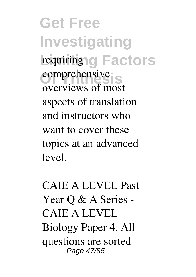**Get Free Investigating** requiring g Factors **Comprehensive** overviews of most aspects of translation and instructors who want to cover these topics at an advanced level.

CAIE A LEVEL Past Year O & A Series -CAIE A LEVEL Biology Paper 4. All questions are sorted Page 47/85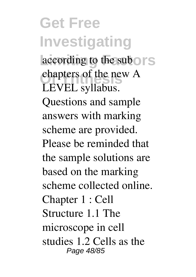**Get Free Investigating** according to the subors chapters of the new A LEVEL syllabus. Questions and sample answers with marking scheme are provided. Please be reminded that the sample solutions are based on the marking scheme collected online. Chapter 1 : Cell Structure 1.1 The microscope in cell studies 1.2 Cells as the Page 48/85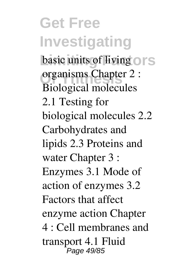**Get Free Investigating** basic units of living or S **Of Ynthesis** organisms Chapter 2 : Biological molecules 2.1 Testing for biological molecules 2.2 Carbohydrates and lipids 2.3 Proteins and water Chapter 3 : Enzymes 3.1 Mode of action of enzymes 3.2 Factors that affect enzyme action Chapter 4 : Cell membranes and transport 4.1 Fluid Page 49/85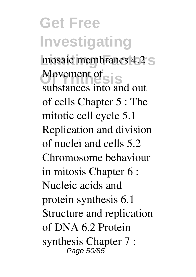**Get Free Investigating** mosaic membranes 4.2 S Movement of S<sup>i</sup>S substances into and out of cells Chapter 5 : The mitotic cell cycle 5.1 Replication and division of nuclei and cells 5.2 Chromosome behaviour in mitosis Chapter 6 : Nucleic acids and protein synthesis 6.1 Structure and replication of DNA 6.2 Protein synthesis Chapter 7 : Page 50/85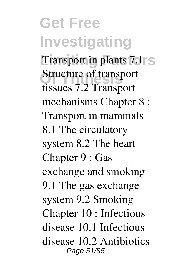**Get Free Investigating** Transport in plants 7.1 S **Structure of transport** tissues 7.2 Transport mechanisms Chapter 8 : Transport in mammals 8.1 The circulatory system 8.2 The heart Chapter 9 : Gas exchange and smoking 9.1 The gas exchange system 9.2 Smoking Chapter 10 : Infectious disease 10.1 Infectious disease 10.2 Antibiotics Page 51/85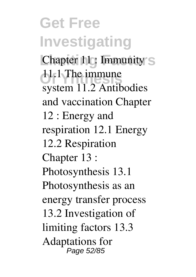**Get Free Investigating Chapter 11: Immunity S 11.1 The immune** system 11.2 Antibodies and vaccination Chapter 12 : Energy and respiration 12.1 Energy 12.2 Respiration Chapter 13 : Photosynthesis 13.1 Photosynthesis as an energy transfer process 13.2 Investigation of limiting factors 13.3 Adaptations for Page 52/85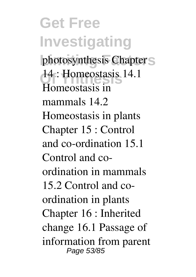**Get Free Investigating** photosynthesis Chapter<sub>S</sub> **Of Ynthesis** 14 : Homeostasis 14.1 Homeostasis in mammals 14.2 Homeostasis in plants Chapter 15 : Control and co-ordination 15.1 Control and coordination in mammals 15.2 Control and coordination in plants Chapter 16 : Inherited change 16.1 Passage of information from parent Page 53/85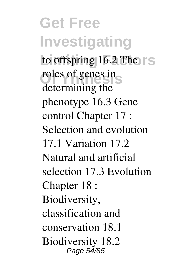**Get Free Investigating** to offspring 16.2 The roles of genes in determining the phenotype 16.3 Gene control Chapter 17 : Selection and evolution 17.1 Variation 17.2 Natural and artificial selection 17.3 Evolution Chapter 18 : Biodiversity, classification and conservation 18.1 Biodiversity 18.2 Page 54/85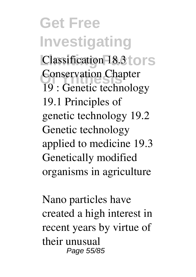**Get Free Investigating Classification 18.3 tors Conservation Chapter** 19 : Genetic technology 19.1 Principles of genetic technology 19.2 Genetic technology applied to medicine 19.3 Genetically modified organisms in agriculture

Nano particles have created a high interest in recent years by virtue of their unusual Page 55/85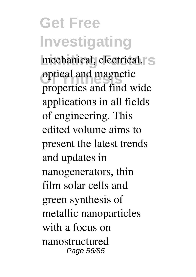## **Get Free Investigating** mechanical, electrical, S **Optical and magnetic** properties and find wide applications in all fields of engineering. This edited volume aims to present the latest trends and updates in nanogenerators, thin film solar cells and green synthesis of metallic nanoparticles with a focus on nanostructured Page 56/85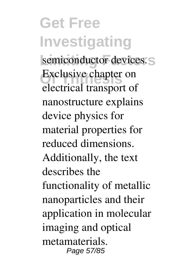**Get Free Investigating** semiconductor devices. Exclusive chapter on electrical transport of nanostructure explains device physics for material properties for reduced dimensions. Additionally, the text describes the functionality of metallic nanoparticles and their application in molecular imaging and optical metamaterials. Page 57/85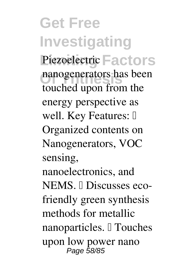**Get Free Investigating** Piezoelectric Factors nanogenerators has been touched upon from the energy perspective as well. Key Features: [ Organized contents on Nanogenerators, VOC sensing, nanoelectronics, and NEMS. *<u>Discusses eco-</u>* friendly green synthesis methods for metallic nanoparticles. <sup>[]</sup> Touches upon low power nano Page 58/85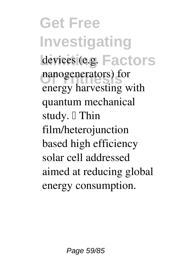**Get Free Investigating** devices (e.g. Factors nanogenerators) for energy harvesting with quantum mechanical study.  $\Box$  Thin film/heterojunction based high efficiency solar cell addressed aimed at reducing global energy consumption.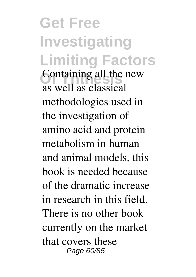**Get Free Investigating Limiting Factors** Containing all the new as well as classical methodologies used in the investigation of amino acid and protein metabolism in human and animal models, this book is needed because of the dramatic increase in research in this field. There is no other book currently on the market that covers these Page 60/85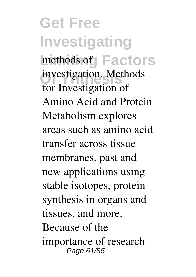**Get Free Investigating** methods of **Factors** investigation. Methods for Investigation of Amino Acid and Protein Metabolism explores areas such as amino acid transfer across tissue membranes, past and new applications using stable isotopes, protein synthesis in organs and tissues, and more. Because of the importance of research Page 61/85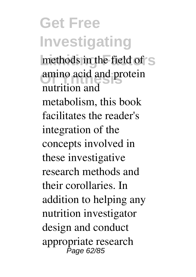**Get Free Investigating** methods in the field of S **Of Ynthesis** amino acid and protein nutrition and metabolism, this book facilitates the reader's integration of the concepts involved in these investigative research methods and their corollaries. In addition to helping any nutrition investigator design and conduct appropriate research Page 62/85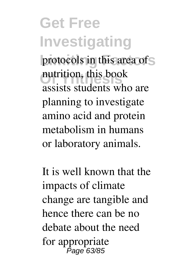**Get Free Investigating** protocols in this area of S nutrition, this book assists students who are planning to investigate amino acid and protein metabolism in humans or laboratory animals.

It is well known that the impacts of climate change are tangible and hence there can be no debate about the need for appropriate Page 63/85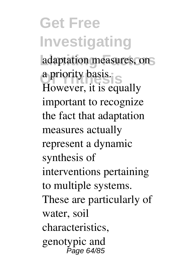**Get Free Investigating** adaptation measures, on **Of Ynthesis** a priority basis. However, it is equally important to recognize the fact that adaptation measures actually represent a dynamic synthesis of interventions pertaining to multiple systems. These are particularly of water, soil characteristics, genotypic and Page 64/85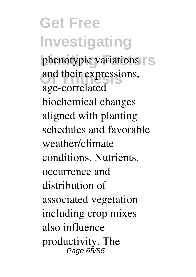**Get Free Investigating** phenotypic variations  $\Gamma$  S and their expressions, age-correlated biochemical changes aligned with planting schedules and favorable weather/climate conditions. Nutrients, occurrence and distribution of associated vegetation including crop mixes also influence productivity. The Page 65/85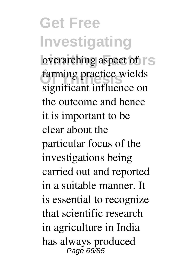**Get Free Investigating** overarching aspect of  $\vert$  S farming practice wields significant influence on the outcome and hence it is important to be clear about the particular focus of the investigations being carried out and reported in a suitable manner. It is essential to recognize that scientific research in agriculture in India has always produced Page 66/85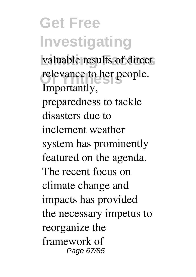**Get Free Investigating** valuable results of direct relevance to her people. Importantly, preparedness to tackle disasters due to inclement weather system has prominently featured on the agenda. The recent focus on climate change and impacts has provided the necessary impetus to reorganize the framework of Page 67/85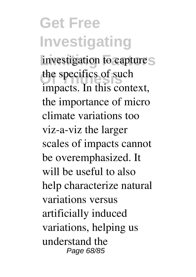**Get Free Investigating** investigation to capture<sub>S</sub> the specifics of such impacts. In this context, the importance of micro climate variations too viz-a-viz the larger scales of impacts cannot be overemphasized. It will be useful to also help characterize natural variations versus artificially induced variations, helping us understand the Page 68/85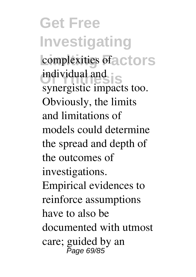**Get Free Investigating** complexities of a ctors **individual and is** synergistic impacts too. Obviously, the limits and limitations of models could determine the spread and depth of the outcomes of investigations. Empirical evidences to reinforce assumptions have to also be documented with utmost care; guided by an Page 69/85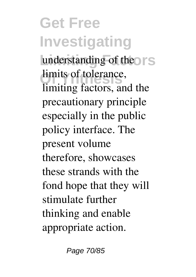**Get Free Investigating** understanding of the **S** limits of tolerance, limiting factors, and the precautionary principle especially in the public policy interface. The present volume therefore, showcases these strands with the fond hope that they will stimulate further thinking and enable appropriate action.

Page 70/85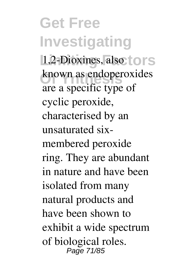**Get Free Investigating** 1,2-Dioxines, also to rs known as endoperoxides are a specific type of cyclic peroxide, characterised by an unsaturated sixmembered peroxide ring. They are abundant in nature and have been isolated from many natural products and have been shown to exhibit a wide spectrum of biological roles. Page 71/85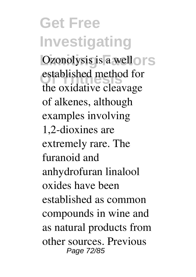**Get Free Investigating** Ozonolysis is a well of S established method for the oxidative cleavage of alkenes, although examples involving 1,2-dioxines are extremely rare. The furanoid and anhydrofuran linalool oxides have been established as common compounds in wine and as natural products from other sources. Previous Page 72/85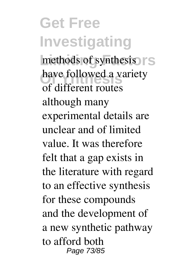**Get Free Investigating** methods of synthesis  $\mathsf{S}$ have followed a variety of different routes although many experimental details are unclear and of limited value. It was therefore felt that a gap exists in the literature with regard to an effective synthesis for these compounds and the development of a new synthetic pathway to afford both Page 73/85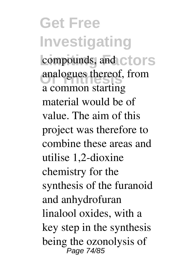**Get Free Investigating** compounds, and ctors analogues thereof, from a common starting material would be of value. The aim of this project was therefore to combine these areas and utilise 1,2-dioxine chemistry for the synthesis of the furanoid and anhydrofuran linalool oxides, with a key step in the synthesis being the ozonolysis of Page 74/85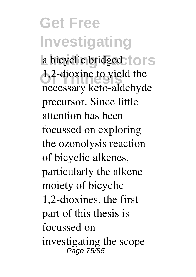**Get Free Investigating** a bicyclic bridged to rs 1,2-dioxine to yield the necessary keto-aldehyde precursor. Since little attention has been focussed on exploring the ozonolysis reaction of bicyclic alkenes, particularly the alkene moiety of bicyclic 1,2-dioxines, the first part of this thesis is focussed on investigating the scope Page 75/85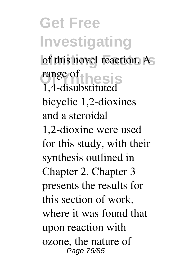**Get Free Investigating** of this novel reaction. As range of thesis 1,4-disubstituted bicyclic 1,2-dioxines and a steroidal 1,2-dioxine were used for this study, with their synthesis outlined in Chapter 2. Chapter 3 presents the results for this section of work, where it was found that upon reaction with ozone, the nature of Page 76/85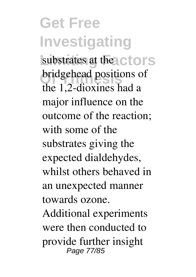**Get Free Investigating** substrates at the ctors bridgehead positions of the 1,2-dioxines had a major influence on the outcome of the reaction; with some of the substrates giving the expected dialdehydes, whilst others behaved in an unexpected manner towards ozone.

Additional experiments were then conducted to provide further insight Page 77/85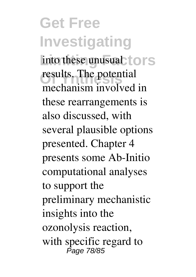**Get Free Investigating** into these unusual tors results. The potential mechanism involved in these rearrangements is also discussed, with several plausible options presented. Chapter 4 presents some Ab-Initio computational analyses to support the preliminary mechanistic insights into the ozonolysis reaction, with specific regard to<br> *Page 78/85*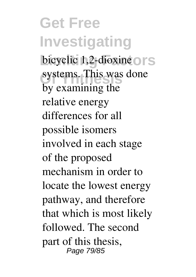**Get Free Investigating** bicyclic 1,2-dioxine or S systems. This was done by examining the relative energy differences for all possible isomers involved in each stage of the proposed mechanism in order to locate the lowest energy pathway, and therefore that which is most likely followed. The second part of this thesis, Page 79/85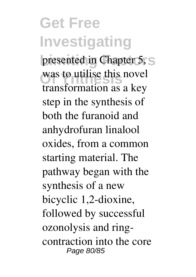## **Get Free Investigating** presented in Chapter 5, S was to utilise this novel transformation as a key step in the synthesis of both the furanoid and anhydrofuran linalool oxides, from a common starting material. The pathway began with the synthesis of a new bicyclic 1,2-dioxine, followed by successful ozonolysis and ringcontraction into the core Page 80/85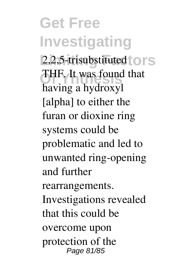**Get Free Investigating** 2,2,5-trisubstituted to rs **Of Ynthesis** THF. It was found that having a hydroxyl [alpha] to either the furan or dioxine ring systems could be problematic and led to unwanted ring-opening and further rearrangements. Investigations revealed that this could be overcome upon protection of the Page 81/85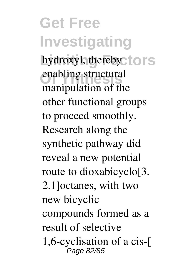**Get Free Investigating** hydroxyl, therebyctors enabling structural manipulation of the other functional groups to proceed smoothly. Research along the synthetic pathway did reveal a new potential route to dioxabicyclo[3. 2.1]octanes, with two new bicyclic compounds formed as a result of selective 1,6-cyclisation of a cis-[ Page 82/85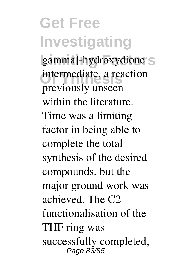**Get Free Investigating** gamma]-hydroxydione S **Of Ynthesis** intermediate, a reaction previously unseen within the literature. Time was a limiting factor in being able to complete the total synthesis of the desired compounds, but the major ground work was achieved. The C2 functionalisation of the THF ring was successfully completed, Page 83/85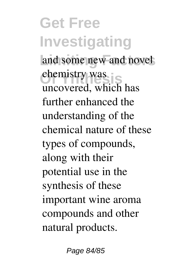**Get Free Investigating** and some new and novel chemistry was uncovered, which has further enhanced the understanding of the chemical nature of these types of compounds, along with their potential use in the synthesis of these important wine aroma compounds and other natural products.